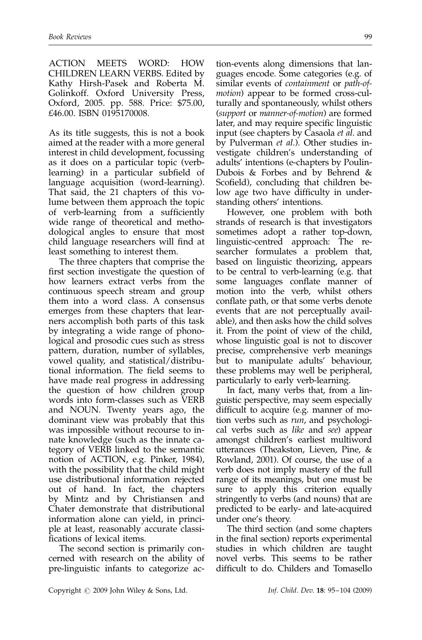ACTION MEETS WORD: HOW CHILDREN LEARN VERBS. Edited by Kathy Hirsh-Pasek and Roberta M. Golinkoff. Oxford University Press, Oxford, 2005. pp. 588. Price: \$75.00, £46.00. ISBN 0195170008.

As its title suggests, this is not a book aimed at the reader with a more general interest in child development, focussing as it does on a particular topic (verblearning) in a particular subfield of language acquisition (word-learning). That said, the 21 chapters of this volume between them approach the topic of verb-learning from a sufficiently wide range of theoretical and methodological angles to ensure that most child language researchers will find at least something to interest them.

The three chapters that comprise the first section investigate the question of how learners extract verbs from the continuous speech stream and group them into a word class. A consensus emerges from these chapters that learners accomplish both parts of this task by integrating a wide range of phonological and prosodic cues such as stress pattern, duration, number of syllables, vowel quality, and statistical/distributional information. The field seems to have made real progress in addressing the question of how children group words into form-classes such as VERB and NOUN. Twenty years ago, the dominant view was probably that this was impossible without recourse to innate knowledge (such as the innate category of VERB linked to the semantic notion of ACTION, e.g. Pinker, 1984), with the possibility that the child might use distributional information rejected out of hand. In fact, the chapters by Mintz and by Christiansen and Chater demonstrate that distributional information alone can yield, in principle at least, reasonably accurate classifications of lexical items.

The second section is primarily concerned with research on the ability of pre-linguistic infants to categorize ac-

tion-events along dimensions that languages encode. Some categories (e.g. of similar events of containment or path-ofmotion) appear to be formed cross-culturally and spontaneously, whilst others (support or manner-of-motion) are formed later, and may require specific linguistic input (see chapters by Casaola et al. and by Pulverman et al.). Other studies investigate children's understanding of adults' intentions (e-chapters by Poulin-Dubois & Forbes and by Behrend & Scofield), concluding that children below age two have difficulty in understanding others' intentions.

However, one problem with both strands of research is that investigators sometimes adopt a rather top-down, linguistic-centred approach: The researcher formulates a problem that, based on linguistic theorizing, appears to be central to verb-learning (e.g. that some languages conflate manner of motion into the verb, whilst others conflate path, or that some verbs denote events that are not perceptually available), and then asks how the child solves it. From the point of view of the child, whose linguistic goal is not to discover precise, comprehensive verb meanings but to manipulate adults' behaviour, these problems may well be peripheral, particularly to early verb-learning.

In fact, many verbs that, from a linguistic perspective, may seem especially difficult to acquire (e.g. manner of motion verbs such as run, and psychological verbs such as like and see) appear amongst children's earliest multiword utterances (Theakston, Lieven, Pine, & Rowland, 2001). Of course, the use of a verb does not imply mastery of the full range of its meanings, but one must be sure to apply this criterion equally stringently to verbs (and nouns) that are predicted to be early- and late-acquired under one's theory.

The third section (and some chapters in the final section) reports experimental studies in which children are taught novel verbs. This seems to be rather difficult to do. Childers and Tomasello